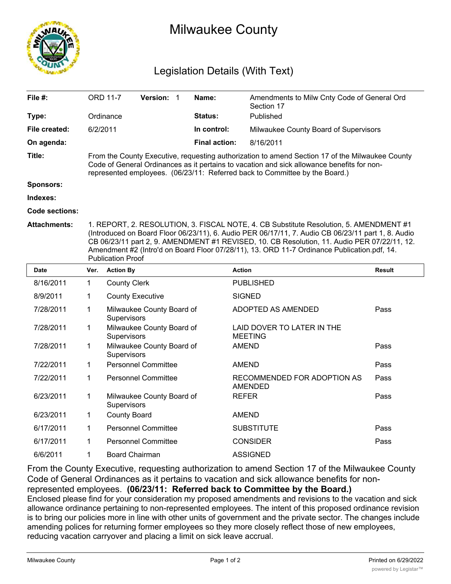

## Milwaukee County

## Legislation Details (With Text)

| File $#$ :          |                                                                                                                                                                                                                                                                                                                                                                                                                        | <b>ORD 11-7</b>     | <b>Version:</b>           |  | Name:                | Amendments to Milw Cnty Code of General Ord<br>Section 17 |               |  |  |
|---------------------|------------------------------------------------------------------------------------------------------------------------------------------------------------------------------------------------------------------------------------------------------------------------------------------------------------------------------------------------------------------------------------------------------------------------|---------------------|---------------------------|--|----------------------|-----------------------------------------------------------|---------------|--|--|
| Type:               |                                                                                                                                                                                                                                                                                                                                                                                                                        | Ordinance           |                           |  | Status:              | Published                                                 |               |  |  |
| File created:       |                                                                                                                                                                                                                                                                                                                                                                                                                        | 6/2/2011            |                           |  | In control:          | Milwaukee County Board of Supervisors                     |               |  |  |
| On agenda:          |                                                                                                                                                                                                                                                                                                                                                                                                                        |                     |                           |  | <b>Final action:</b> | 8/16/2011                                                 |               |  |  |
| Title:              | From the County Executive, requesting authorization to amend Section 17 of the Milwaukee County<br>Code of General Ordinances as it pertains to vacation and sick allowance benefits for non-<br>represented employees. (06/23/11: Referred back to Committee by the Board.)                                                                                                                                           |                     |                           |  |                      |                                                           |               |  |  |
| <b>Sponsors:</b>    |                                                                                                                                                                                                                                                                                                                                                                                                                        |                     |                           |  |                      |                                                           |               |  |  |
| Indexes:            |                                                                                                                                                                                                                                                                                                                                                                                                                        |                     |                           |  |                      |                                                           |               |  |  |
| Code sections:      |                                                                                                                                                                                                                                                                                                                                                                                                                        |                     |                           |  |                      |                                                           |               |  |  |
| <b>Attachments:</b> | 1. REPORT, 2. RESOLUTION, 3. FISCAL NOTE, 4. CB Substitute Resolution, 5. AMENDMENT #1<br>(Introduced on Board Floor 06/23/11), 6. Audio PER 06/17/11, 7. Audio CB 06/23/11 part 1, 8. Audio<br>CB 06/23/11 part 2, 9. AMENDMENT #1 REVISED, 10. CB Resolution, 11. Audio PER 07/22/11, 12.<br>Amendment #2 (Intro'd on Board Floor 07/28/11), 13. ORD 11-7 Ordinance Publication.pdf, 14.<br><b>Publication Proof</b> |                     |                           |  |                      |                                                           |               |  |  |
| Date                | Ver.                                                                                                                                                                                                                                                                                                                                                                                                                   | <b>Action By</b>    |                           |  |                      | <b>Action</b>                                             | <b>Result</b> |  |  |
| 8/16/2011           | 1.                                                                                                                                                                                                                                                                                                                                                                                                                     | <b>County Clerk</b> |                           |  |                      | <b>PUBLISHED</b>                                          |               |  |  |
| 8/9/2011            |                                                                                                                                                                                                                                                                                                                                                                                                                        |                     | <b>County Executive</b>   |  |                      | <b>SIGNED</b>                                             |               |  |  |
| 7/28/2011           | 1                                                                                                                                                                                                                                                                                                                                                                                                                      |                     | Milwaukee County Board of |  |                      | ADOPTED AS AMENDED                                        | Pass          |  |  |

| 8/16/2011 | 1            | County Clerk                                    | PUBLISHED                                    |      |
|-----------|--------------|-------------------------------------------------|----------------------------------------------|------|
| 8/9/2011  | 1            | <b>County Executive</b>                         | <b>SIGNED</b>                                |      |
| 7/28/2011 | 1            | Milwaukee County Board of<br><b>Supervisors</b> | ADOPTED AS AMENDED                           | Pass |
| 7/28/2011 | 1            | Milwaukee County Board of<br>Supervisors        | LAID DOVER TO LATER IN THE<br><b>MEETING</b> |      |
| 7/28/2011 | 1            | Milwaukee County Board of<br>Supervisors        | AMEND                                        | Pass |
| 7/22/2011 | 1            | <b>Personnel Committee</b>                      | <b>AMEND</b>                                 | Pass |
| 7/22/2011 | 1            | <b>Personnel Committee</b>                      | RECOMMENDED FOR ADOPTION AS<br>AMENDED       | Pass |
| 6/23/2011 | 1            | Milwaukee County Board of<br><b>Supervisors</b> | <b>REFER</b>                                 | Pass |
| 6/23/2011 | 1            | <b>County Board</b>                             | <b>AMEND</b>                                 |      |
| 6/17/2011 | $\mathbf{1}$ | <b>Personnel Committee</b>                      | <b>SUBSTITUTE</b>                            | Pass |
| 6/17/2011 | 1            | <b>Personnel Committee</b>                      | <b>CONSIDER</b>                              | Pass |
| 6/6/2011  | 1            | <b>Board Chairman</b>                           | <b>ASSIGNED</b>                              |      |
|           |              |                                                 |                                              |      |

From the County Executive, requesting authorization to amend Section 17 of the Milwaukee County Code of General Ordinances as it pertains to vacation and sick allowance benefits for nonrepresented employees. **(06/23/11: Referred back to Committee by the Board.)** Enclosed please find for your consideration my proposed amendments and revisions to the vacation and sick allowance ordinance pertaining to non-represented employees. The intent of this proposed ordinance revision is to bring our policies more in line with other units of government and the private sector. The changes include amending polices for returning former employees so they more closely reflect those of new employees, reducing vacation carryover and placing a limit on sick leave accrual.